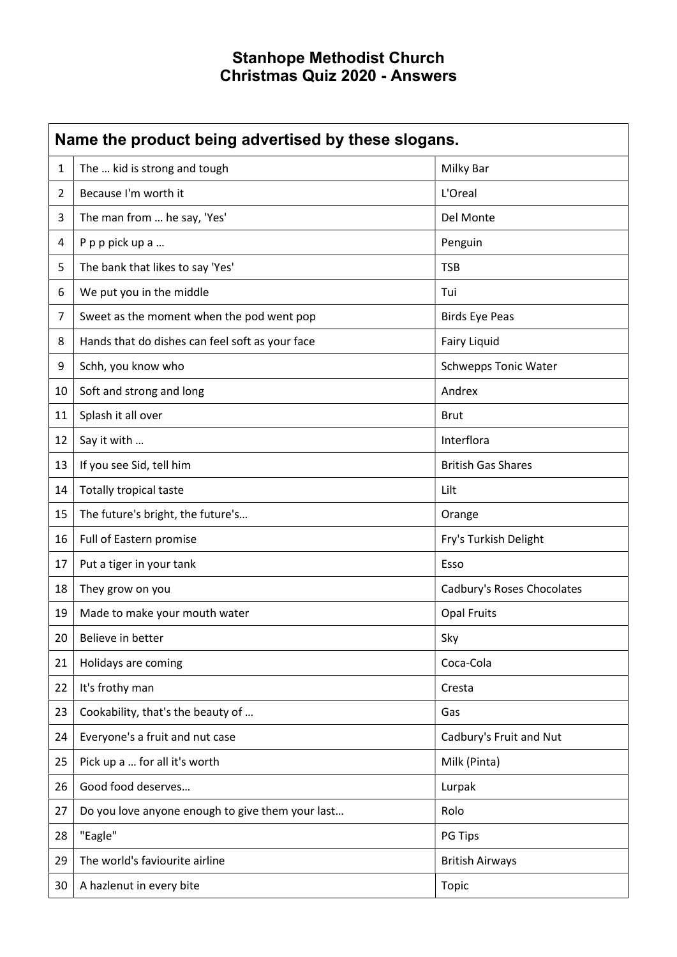## Stanhope Methodist Church Christmas Quiz 2020 - Answers

| Name the product being advertised by these slogans. |                                                  |                             |
|-----------------------------------------------------|--------------------------------------------------|-----------------------------|
| $\mathbf{1}$                                        | The  kid is strong and tough                     | Milky Bar                   |
| $\overline{2}$                                      | Because I'm worth it                             | L'Oreal                     |
| 3                                                   | The man from  he say, 'Yes'                      | Del Monte                   |
| 4                                                   | P p p pick up a                                  | Penguin                     |
| 5                                                   | The bank that likes to say 'Yes'                 | <b>TSB</b>                  |
| 6                                                   | We put you in the middle                         | Tui                         |
| 7                                                   | Sweet as the moment when the pod went pop        | <b>Birds Eye Peas</b>       |
| 8                                                   | Hands that do dishes can feel soft as your face  | <b>Fairy Liquid</b>         |
| 9                                                   | Schh, you know who                               | <b>Schwepps Tonic Water</b> |
| 10                                                  | Soft and strong and long                         | Andrex                      |
| 11                                                  | Splash it all over                               | <b>Brut</b>                 |
| 12                                                  | Say it with                                      | Interflora                  |
| 13                                                  | If you see Sid, tell him                         | <b>British Gas Shares</b>   |
| 14                                                  | <b>Totally tropical taste</b>                    | Lilt                        |
| 15                                                  | The future's bright, the future's                | Orange                      |
| 16                                                  | Full of Eastern promise                          | Fry's Turkish Delight       |
| 17                                                  | Put a tiger in your tank                         | Esso                        |
| 18                                                  | They grow on you                                 | Cadbury's Roses Chocolates  |
| 19                                                  | Made to make your mouth water                    | <b>Opal Fruits</b>          |
| 20                                                  | Believe in better                                | Sky                         |
| 21                                                  | Holidays are coming                              | Coca-Cola                   |
| 22                                                  | It's frothy man                                  | Cresta                      |
| 23                                                  | Cookability, that's the beauty of                | Gas                         |
| 24                                                  | Everyone's a fruit and nut case                  | Cadbury's Fruit and Nut     |
| 25                                                  | Pick up a  for all it's worth                    | Milk (Pinta)                |
| 26                                                  | Good food deserves                               | Lurpak                      |
| 27                                                  | Do you love anyone enough to give them your last | Rolo                        |
| 28                                                  | "Eagle"                                          | PG Tips                     |
| 29                                                  | The world's faviourite airline                   | <b>British Airways</b>      |
| 30                                                  | A hazlenut in every bite                         | Topic                       |